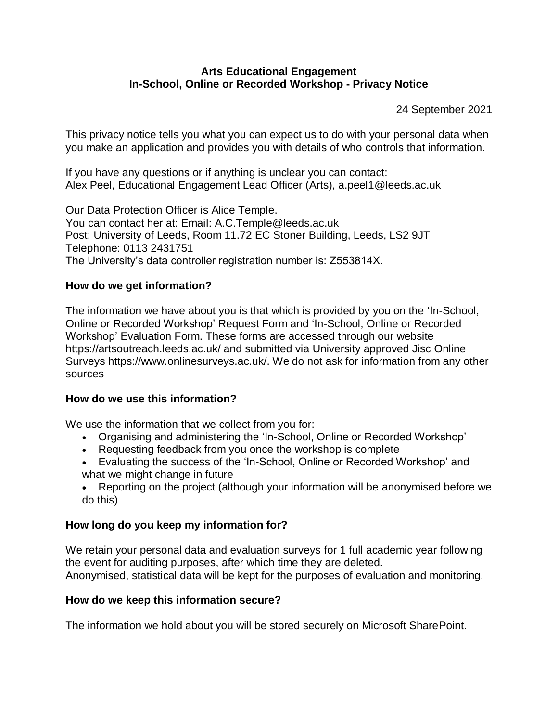#### **Arts Educational Engagement In-School, Online or Recorded Workshop - Privacy Notice**

24 September 2021

This privacy notice tells you what you can expect us to do with your personal data when you make an application and provides you with details of who controls that information.

If you have any questions or if anything is unclear you can contact: Alex Peel, Educational Engagement Lead Officer (Arts), a.peel1@leeds.ac.uk

Our Data Protection Officer is Alice Temple. You can contact her at: Email: A.C.Temple@leeds.ac.uk Post: University of Leeds, Room 11.72 EC Stoner Building, Leeds, LS2 9JT Telephone: 0113 2431751 The University's data controller registration number is: Z553814X.

### **How do we get information?**

The information we have about you is that which is provided by you on the 'In-School, Online or Recorded Workshop' Request Form and 'In-School, Online or Recorded Workshop' Evaluation Form. These forms are accessed through our website https://artsoutreach.leeds.ac.uk/ and submitted via University approved Jisc Online Surveys https://www.onlinesurveys.ac.uk/. We do not ask for information from any other sources

#### **How do we use this information?**

We use the information that we collect from you for:

- Organising and administering the 'In-School, Online or Recorded Workshop'
- Requesting feedback from you once the workshop is complete
- Evaluating the success of the 'In-School, Online or Recorded Workshop' and what we might change in future

 Reporting on the project (although your information will be anonymised before we do this)

#### **How long do you keep my information for?**

We retain your personal data and evaluation surveys for 1 full academic year following the event for auditing purposes, after which time they are deleted. Anonymised, statistical data will be kept for the purposes of evaluation and monitoring.

# **How do we keep this information secure?**

The information we hold about you will be stored securely on Microsoft SharePoint.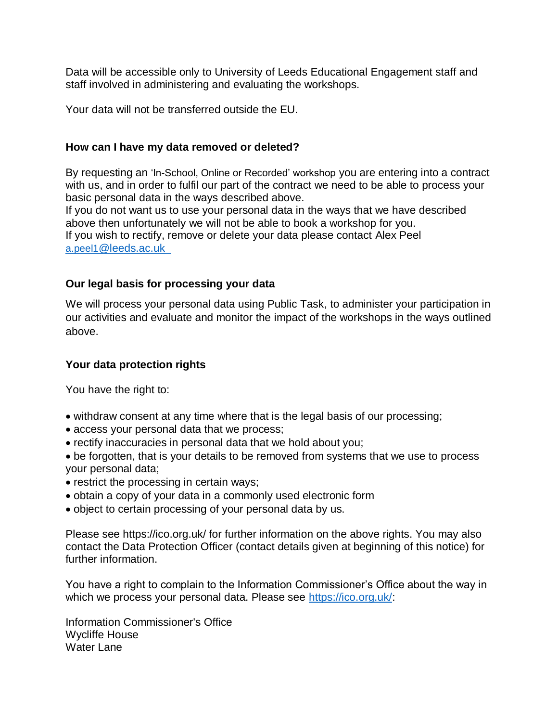Data will be accessible only to University of Leeds Educational Engagement staff and staff involved in administering and evaluating the workshops.

Your data will not be transferred outside the EU.

### **How can I have my data removed or deleted?**

By requesting an 'In-School, Online or Recorded' workshop you are entering into a contract with us, and in order to fulfil our part of the contract we need to be able to process your basic personal data in the ways described above. If you do not want us to use your personal data in the ways that we have described

above then unfortunately we will not be able to book a workshop for you. If you wish to rectify, remove or delete your data please contact Alex Peel a.peel1[@leeds.ac.uk](mailto:a.peel1@leeds.ac.uk  ) 

# **Our legal basis for processing your data**

We will process your personal data using Public Task, to administer your participation in our activities and evaluate and monitor the impact of the workshops in the ways outlined above.

# **Your data protection rights**

You have the right to:

- withdraw consent at any time where that is the legal basis of our processing;
- access your personal data that we process;
- rectify inaccuracies in personal data that we hold about you;
- be forgotten, that is your details to be removed from systems that we use to process your personal data;
- restrict the processing in certain ways;
- obtain a copy of your data in a commonly used electronic form
- object to certain processing of your personal data by us.

Please see https://ico.org.uk/ for further information on the above rights. You may also contact the Data Protection Officer (contact details given at beginning of this notice) for further information.

You have a right to complain to the Information Commissioner's Office about the way in which we process your personal data. Please see [https://ico.org.uk/:](https://ico.org.uk/)

Information Commissioner's Office Wycliffe House Water Lane